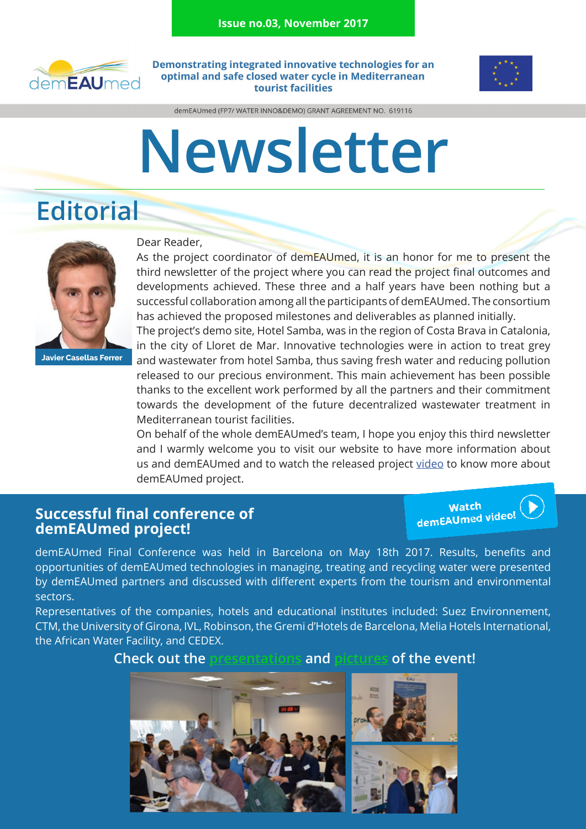

Demonstrating integrated innovative technologies for an optimal and safe closed water cycle in Mediterranean tourist facilities



demEAUmed (FP7/ WATER INNO&DEMO) GRANT AGREEMENT NO. 619116

# **Newsletter**

# **Editorial**



**Javier Casellas Ferrer**

#### Dear Reader,

As the project coordinator of demEAUmed, it is an honor for me to present the third newsletter of the project where you can read the project final outcomes and developments achieved. These three and a half years have been nothing but a successful collaboration among all the participants of demEAUmed. The consortium has achieved the proposed milestones and deliverables as planned initially.

The project's demo site, Hotel Samba, was in the region of Costa Brava in Catalonia, in the city of Lloret de Mar. Innovative technologies were in action to treat grey and wastewater from hotel Samba, thus saving fresh water and reducing pollution released to our precious environment. This main achievement has been possible thanks to the excellent work performed by all the partners and their commitment towards the development of the future decentralized wastewater treatment in Mediterranean tourist facilities.

On behalf of the whole demEAUmed's team, I hope you enjoy this third newsletter and I warmly welcome you to visit our website to have more information about us and demEAUmed and to watch the released project [video](https://vimeo.com/217696711) to know more about demEAUmed project.

#### **Successful final conference of demEAUmed project!**

Watch<br>demEAUmed video!

demEAUmed Final Conference was held in Barcelona on May 18th 2017. Results, benefits and opportunities of demEAUmed technologies in managing, treating and recycling water were presented by demEAUmed partners and discussed with different experts from the tourism and environmental sectors.

Representatives of the companies, hotels and educational institutes included: Suez Environnement, CTM, the University of Girona, IVL, Robinson, the Gremi d'Hotels de Barcelona, Melia Hotels International, the African Water Facility, and CEDEX.

#### **Check out the [presentations](http://www.demeaumed.eu/index.php/component/jdownloads/category/33-finalconf?Itemid=449) and [pictures](https://www.flickr.com/photos/149524362@N04/sets/72157682068521620/) of the event!**

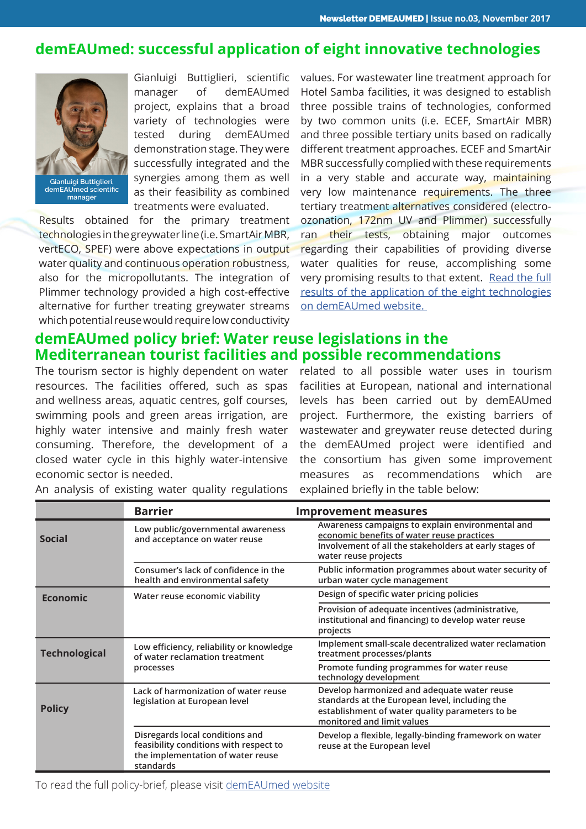#### **demEAUmed: successful application of eight innovative technologies**



**Gianluigi Buttiglieri, demEAUmed scientific manager**

Gianluigi Buttiglieri, scientific manager of demEAUmed project, explains that a broad variety of technologies were tested during demEAUmed demonstration stage. They were successfully integrated and the synergies among them as well as their feasibility as combined treatments were evaluated.

Results obtained for the primary treatment technologies in the greywater line (i.e. SmartAir MBR, vertECO, SPEF) were above expectations in output water quality and continuous operation robustness, also for the micropollutants. The integration of Plimmer technology provided a high cost-effective alternative for further treating greywater streams which potential reuse would require low conductivity

values. For wastewater line treatment approach for Hotel Samba facilities, it was designed to establish three possible trains of technologies, conformed by two common units (i.e. ECEF, SmartAir MBR) and three possible tertiary units based on radically different treatment approaches. ECEF and SmartAir MBR successfully complied with these requirements in a very stable and accurate way, maintaining very low maintenance requirements. The three tertiary treatment alternatives considered (electroozonation, 172nm UV and Plimmer) successfully ran their tests, obtaining major outcomes regarding their capabilities of providing diverse water qualities for reuse, accomplishing some very promising results to that extent. [Read the full](http://www.demeaumed.eu/index.php/diss/news/78-demeaumed-successful-application-of-eight-innovative-technologies) [results of the application of the eight technologies](http://www.demeaumed.eu/index.php/diss/news/78-demeaumed-successful-application-of-eight-innovative-technologies) [on demEAUmed website.](http://www.demeaumed.eu/index.php/diss/news/78-demeaumed-successful-application-of-eight-innovative-technologies) 

#### **demEAUmed policy brief: Water reuse legislations in the Mediterranean tourist facilities and possible recommendations**

The tourism sector is highly dependent on water resources. The facilities offered, such as spas and wellness areas, aquatic centres, golf courses, swimming pools and green areas irrigation, are highly water intensive and mainly fresh water consuming. Therefore, the development of a closed water cycle in this highly water-intensive economic sector is needed.

related to all possible water uses in tourism facilities at European, national and international levels has been carried out by demEAUmed project. Furthermore, the existing barriers of wastewater and greywater reuse detected during the demEAUmed project were identified and the consortium has given some improvement measures as recommendations which are explained briefly in the table below:

|                      | <b>Barrier</b>                                                                                                              | <b>Improvement measures</b>                                                                                                                                                      |
|----------------------|-----------------------------------------------------------------------------------------------------------------------------|----------------------------------------------------------------------------------------------------------------------------------------------------------------------------------|
| <b>Social</b>        | Low public/governmental awareness<br>and acceptance on water reuse                                                          | Awareness campaigns to explain environmental and<br>economic benefits of water reuse practices<br>Involvement of all the stakeholders at early stages of<br>water reuse projects |
|                      | Consumer's lack of confidence in the<br>health and environmental safety                                                     | Public information programmes about water security of<br>urban water cycle management                                                                                            |
| <b>Economic</b>      | Water reuse economic viability                                                                                              | Design of specific water pricing policies                                                                                                                                        |
|                      |                                                                                                                             | Provision of adequate incentives (administrative,<br>institutional and financing) to develop water reuse<br>projects                                                             |
| <b>Technological</b> | Low efficiency, reliability or knowledge<br>of water reclamation treatment<br>processes                                     | Implement small-scale decentralized water reclamation<br>treatment processes/plants                                                                                              |
|                      |                                                                                                                             | Promote funding programmes for water reuse<br>technology development                                                                                                             |
| <b>Policy</b>        | Lack of harmonization of water reuse<br>legislation at European level                                                       | Develop harmonized and adequate water reuse<br>standards at the European level, including the<br>establishment of water quality parameters to be<br>monitored and limit values   |
|                      | Disregards local conditions and<br>feasibility conditions with respect to<br>the implementation of water reuse<br>standards | Develop a flexible, legally-binding framework on water<br>reuse at the European level                                                                                            |

An analysis of existing water quality regulations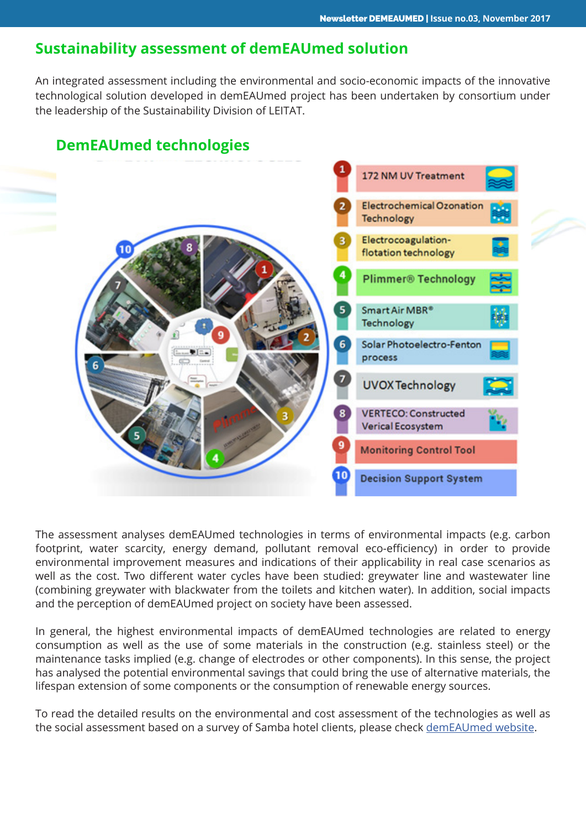#### **Sustainability assessment of demEAUmed solution**

An integrated assessment including the environmental and socio-economic impacts of the innovative technological solution developed in demEAUmed project has been undertaken by consortium under the leadership of the Sustainability Division of LEITAT.



### **DemEAUmed technologies**

The assessment analyses demEAUmed technologies in terms of environmental impacts (e.g. carbon footprint, water scarcity, energy demand, pollutant removal eco-efficiency) in order to provide environmental improvement measures and indications of their applicability in real case scenarios as well as the cost. Two different water cycles have been studied: greywater line and wastewater line (combining greywater with blackwater from the toilets and kitchen water). In addition, social impacts and the perception of demEAUmed project on society have been assessed.

In general, the highest environmental impacts of demEAUmed technologies are related to energy consumption as well as the use of some materials in the construction (e.g. stainless steel) or the maintenance tasks implied (e.g. change of electrodes or other components). In this sense, the project has analysed the potential environmental savings that could bring the use of alternative materials, the lifespan extension of some components or the consumption of renewable energy sources.

To read the detailed results on the environmental and cost assessment of the technologies as well as the social assessment based on a survey of Samba hotel clients, please check [demEAUmed website.](http://www.demeaumed.eu/index.php/diss/news/77-sustainability-assessment-of-demeaumed-solution)